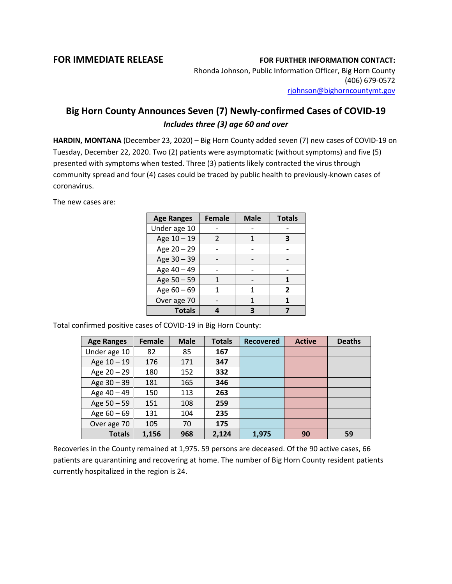## **FOR IMMEDIATE RELEASE FOR FURTHER INFORMATION CONTACT:**

Rhonda Johnson, Public Information Officer, Big Horn County (406) 679-0572 [rjohnson@bighorncountymt.gov](mailto:rjohnson@bighorncountymt.gov)

## **Big Horn County Announces Seven (7) Newly-confirmed Cases of COVID-19** *Includes three (3) age 60 and over*

**HARDIN, MONTANA** (December 23, 2020) – Big Horn County added seven (7) new cases of COVID-19 on Tuesday, December 22, 2020. Two (2) patients were asymptomatic (without symptoms) and five (5) presented with symptoms when tested. Three (3) patients likely contracted the virus through community spread and four (4) cases could be traced by public health to previously-known cases of coronavirus.

The new cases are:

| <b>Age Ranges</b> | <b>Female</b> | <b>Male</b> | <b>Totals</b> |
|-------------------|---------------|-------------|---------------|
| Under age 10      |               |             |               |
| Age 10 - 19       | 2             |             | З             |
| Age 20 - 29       |               |             |               |
| Age 30 - 39       |               |             |               |
| Age 40 - 49       |               |             |               |
| Age 50 - 59       |               |             |               |
| Age 60 - 69       |               | 1           | 2             |
| Over age 70       |               |             |               |
| <b>Totals</b>     |               |             |               |

Total confirmed positive cases of COVID-19 in Big Horn County:

| <b>Age Ranges</b> | <b>Female</b> | <b>Male</b> | <b>Totals</b> | <b>Recovered</b> | <b>Active</b> | <b>Deaths</b> |
|-------------------|---------------|-------------|---------------|------------------|---------------|---------------|
| Under age 10      | 82            | 85          | 167           |                  |               |               |
| Age 10 - 19       | 176           | 171         | 347           |                  |               |               |
| Age 20 - 29       | 180           | 152         | 332           |                  |               |               |
| Age 30 - 39       | 181           | 165         | 346           |                  |               |               |
| Age 40 - 49       | 150           | 113         | 263           |                  |               |               |
| Age 50 - 59       | 151           | 108         | 259           |                  |               |               |
| Age $60 - 69$     | 131           | 104         | 235           |                  |               |               |
| Over age 70       | 105           | 70          | 175           |                  |               |               |
| <b>Totals</b>     | 1,156         | 968         | 2,124         | 1,975            | 90            | 59            |

Recoveries in the County remained at 1,975. 59 persons are deceased. Of the 90 active cases, 66 patients are quarantining and recovering at home. The number of Big Horn County resident patients currently hospitalized in the region is 24.